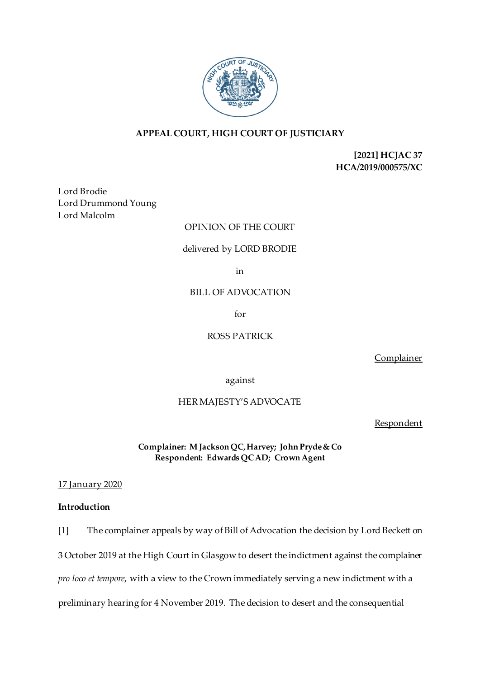

# **APPEAL COURT, HIGH COURT OF JUSTICIARY**

**[2021] HCJAC 37 HCA/2019/000575/XC**

Lord Brodie Lord Drummond Young Lord Malcolm

## OPINION OF THE COURT

### delivered by LORD BRODIE

in

### BILL OF ADVOCATION

for

# ROSS PATRICK

Complainer

against

### HER MAJESTY'S ADVOCATE

**Respondent** 

**Complainer: M Jackson QC, Harvey; John Pryde & Co Respondent: Edwards QC AD; Crown Agent**

17 January 2020

# **Introduction**

[1] The complainer appeals by way of Bill of Advocation the decision by Lord Beckett on 3 October 2019 at the High Court in Glasgow to desert the indictment against the complainer *pro loco et tempore*, with a view to the Crown immediately serving a new indictment with a

preliminary hearing for 4 November 2019. The decision to desert and the consequential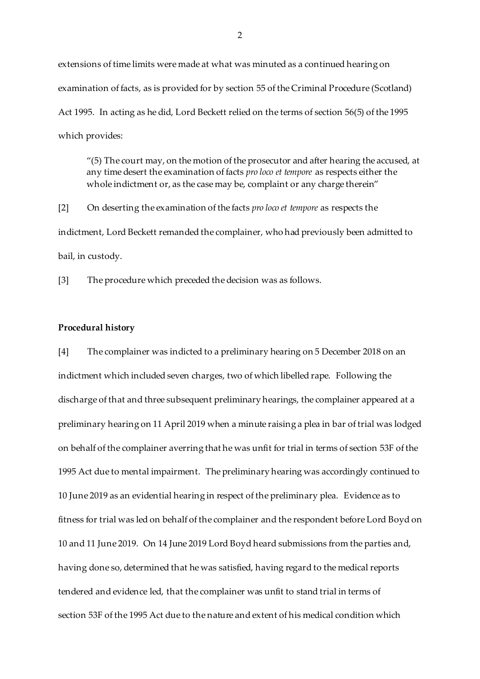extensions of time limits were made at what was minuted as a continued hearing on examination of facts, as is provided for by section 55 of the Criminal Procedure (Scotland) Act 1995. In acting as he did, Lord Beckett relied on the terms of section 56(5) of the 1995 which provides:

 $(5)$  The court may, on the motion of the prosecutor and after hearing the accused, at any time desert the examination of facts *pro loco et tempore* as respects either the whole indictment or, as the case may be, complaint or any charge therein"

[2] On deserting the examination of the facts *pro loco et tempore* as respects the indictment, Lord Beckett remanded the complainer, who had previously been admitted to bail, in custody.

[3] The procedure which preceded the decision was as follows.

#### **Procedural history**

[4] The complainer was indicted to a preliminary hearing on 5 December 2018 on an indictment which included seven charges, two of which libelled rape. Following the discharge of that and three subsequent preliminary hearings, the complainer appeared at a preliminary hearing on 11 April 2019 when a minute raising a plea in bar of trial was lodged on behalf of the complainer averring that he was unfit for trial in terms of section 53F of the 1995 Act due to mental impairment. The preliminary hearing was accordingly continued to 10 June 2019 as an evidential hearing in respect of the preliminary plea. Evidence as to fitness for trial was led on behalf of the complainer and the respondent before Lord Boyd on 10 and 11 June 2019. On 14 June 2019 Lord Boyd heard submissions from the parties and, having done so, determined that he was satisfied, having regard to the medical reports tendered and evidence led, that the complainer was unfit to stand trial in terms of section 53F of the 1995 Act due to the nature and extent of his medical condition which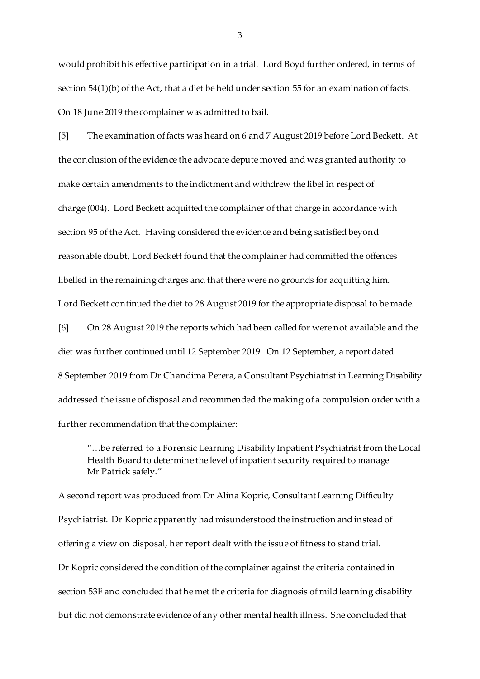would prohibit his effective participation in a trial. Lord Boyd further ordered, in terms of section 54(1)(b) of the Act, that a diet be held under section 55 for an examination of facts. On 18 June 2019 the complainer was admitted to bail.

[5] The examination of facts was heard on 6 and 7 August 2019 before Lord Beckett. At the conclusion of the evidence the advocate depute moved and was granted authority to make certain amendments to the indictment and withdrew the libel in respect of charge (004). Lord Beckett acquitted the complainer of that charge in accordance with section 95 of the Act. Having considered the evidence and being satisfied beyond reasonable doubt, Lord Beckett found that the complainer had committed the offences libelled in the remaining charges and that there were no grounds for acquitting him. Lord Beckett continued the diet to 28 August 2019 for the appropriate disposal to be made.

[6] On 28 August 2019 the reports which had been called for were not available and the diet was further continued until 12 September 2019. On 12 September, a report dated 8 September 2019 from Dr Chandima Perera, a Consultant Psychiatrist in Learning Disability addressed the issue of disposal and recommended the making of a compulsion order with a further recommendation that the complainer:

"…be referred to a Forensic Learning Disability Inpatient Psychiatrist from the Local Health Board to determine the level of inpatient security required to manage Mr Patrick safely."

A second report was produced from Dr Alina Kopric, Consultant Learning Difficulty Psychiatrist. Dr Kopric apparently had misunderstood the instruction and instead of offering a view on disposal, her report dealt with the issue of fitness to stand trial. Dr Kopric considered the condition of the complainer against the criteria contained in section 53F and concluded that he met the criteria for diagnosis of mild learning disability but did not demonstrate evidence of any other mental health illness. She concluded that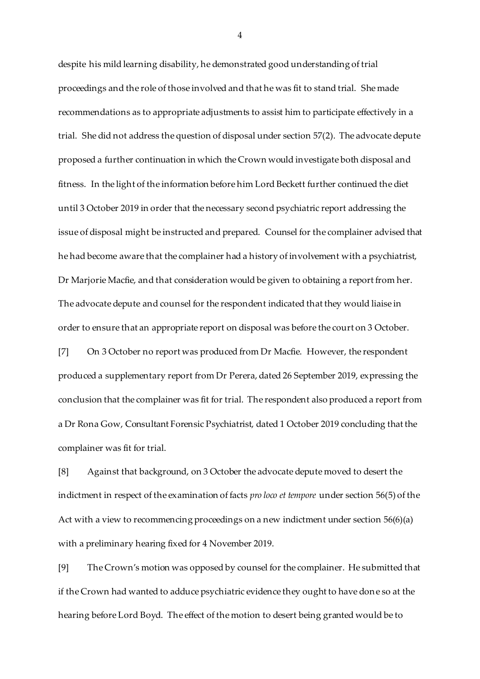despite his mild learning disability, he demonstrated good understanding of trial proceedings and the role of those involved and that he was fit to stand trial. She made recommendations as to appropriate adjustments to assist him to participate effectively in a trial. She did not address the question of disposal under section 57(2). The advocate depute proposed a further continuation in which the Crown would investigate both disposal and fitness. In the light of the information before him Lord Beckett further continued the diet until 3 October 2019 in order that the necessary second psychiatric report addressing the issue of disposal might be instructed and prepared. Counsel for the complainer advised that he had become aware that the complainer had a history of involvement with a psychiatrist, Dr Marjorie Macfie, and that consideration would be given to obtaining a report from her. The advocate depute and counsel for the respondent indicated that they would liaise in order to ensure that an appropriate report on disposal was before the court on 3 October.

[7] On 3 October no report was produced from Dr Macfie. However, the respondent produced a supplementary report from Dr Perera, dated 26 September 2019, expressing the conclusion that the complainer was fit for trial. The respondent also produced a report from a Dr Rona Gow, Consultant Forensic Psychiatrist, dated 1 October 2019 concluding that the complainer was fit for trial.

[8] Against that background, on 3 October the advocate depute moved to desert the indictment in respect of the examination of facts *pro loco et tempore* under section 56(5) of the Act with a view to recommencing proceedings on a new indictment under section 56(6)(a) with a preliminary hearing fixed for 4 November 2019.

[9] The Crown's motion was opposed by counsel for the complainer. He submitted that if the Crown had wanted to adduce psychiatric evidence they ought to have done so at the hearing before Lord Boyd. The effect of the motion to desert being granted would be to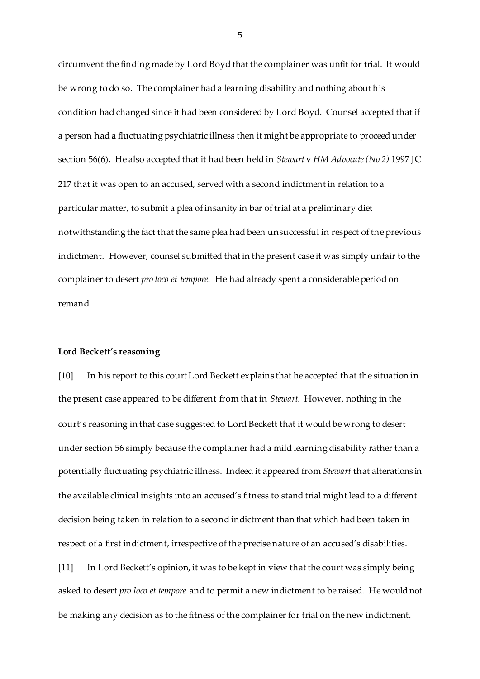circumvent the finding made by Lord Boyd that the complainer was unfit for trial. It would be wrong to do so. The complainer had a learning disability and nothing about his condition had changed since it had been considered by Lord Boyd. Counsel accepted that if a person had a fluctuating psychiatric illness then it might be appropriate to proceed under section 56(6). He also accepted that it had been held in *Stewart* v *HM Advocate(No 2)* 1997 JC 217 that it was open to an accused, served with a second indictment in relation to a particular matter, to submit a plea of insanity in bar of trial at a preliminary diet notwithstanding the fact that the same plea had been unsuccessful in respect of the previous indictment. However, counsel submitted that in the present case it was simply unfair to the complainer to desert *pro loco et tempore*. He had already spent a considerable period on remand.

#### **Lord Beckett's reasoning**

[10] In his report to this court Lord Beckett explains that he accepted that the situation in the present case appeared to be different from that in *Stewart*. However, nothing in the court's reasoning in that case suggested to Lord Beckett that it would be wrong to desert under section 56 simply because the complainer had a mild learning disability rather than a potentially fluctuating psychiatric illness. Indeed it appeared from *Stewart* that alterations in the available clinical insights into an accused's fitness to stand trial might lead to a different decision being taken in relation to a second indictment than that which had been taken in respect of a first indictment, irrespective of the precise nature of an accused's disabilities.

[11] In Lord Beckett's opinion, it was to be kept in view that the court was simply being asked to desert *pro loco et tempore* and to permit a new indictment to be raised. He would not be making any decision as to the fitness of the complainer for trial on the new indictment.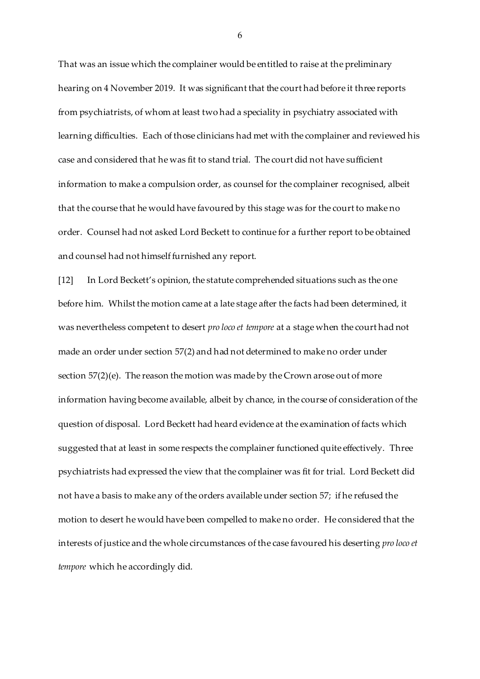That was an issue which the complainer would be entitled to raise at the preliminary hearing on 4 November 2019. It was significant that the court had before it three reports from psychiatrists, of whom at least two had a speciality in psychiatry associated with learning difficulties. Each of those clinicians had met with the complainer and reviewed his case and considered that he was fit to stand trial. The court did not have sufficient information to make a compulsion order, as counsel for the complainer recognised, albeit that the course that he would have favoured by this stage was for the court to make no order. Counsel had not asked Lord Beckett to continue for a further report to be obtained and counsel had not himself furnished any report.

[12] In Lord Beckett's opinion, the statute comprehended situations such as the one before him. Whilst the motion came at a late stage after the facts had been determined, it was nevertheless competent to desert *pro loco et tempore* at a stage when the court had not made an order under section 57(2) and had not determined to make no order under section  $57(2)(e)$ . The reason the motion was made by the Crown arose out of more information having become available, albeit by chance, in the course of consideration of the question of disposal. Lord Beckett had heard evidence at the examination of facts which suggested that at least in some respects the complainer functioned quite effectively. Three psychiatrists had expressed the view that the complainer was fit for trial. Lord Beckett did not have a basis to make any of the orders available under section 57; if he refused the motion to desert he would have been compelled to make no order. He considered that the interests of justice and the whole circumstances of the case favoured his deserting *pro loco et tempore* which he accordingly did.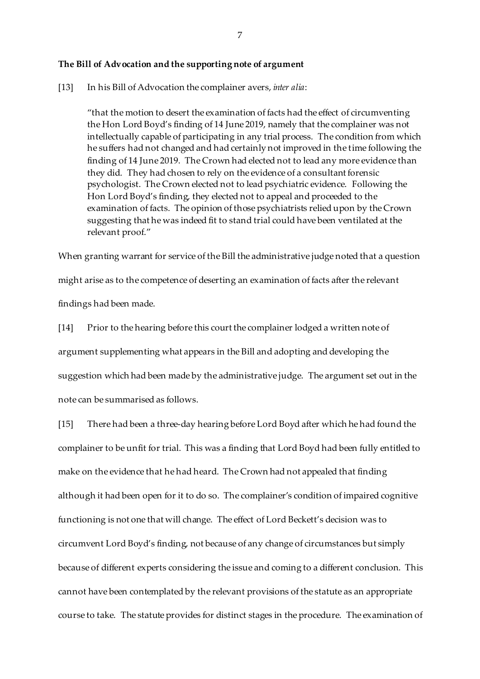#### **The Bill of Advocation and the supporting note of argument**

[13] In his Bill of Advocation the complainer avers, *inter alia*:

"that the motion to desert the examination of facts had the effect of circumventing the Hon Lord Boyd's finding of 14 June 2019, namely that the complainer was not intellectually capable of participating in any trial process. The condition from which he suffers had not changed and had certainly not improved in the time following the finding of 14 June 2019. The Crown had elected not to lead any more evidence than they did. They had chosen to rely on the evidence of a consultant forensic psychologist. The Crown elected not to lead psychiatric evidence. Following the Hon Lord Boyd's finding, they elected not to appeal and proceeded to the examination of facts. The opinion of those psychiatrists relied upon by the Crown suggesting that he was indeed fit to stand trial could have been ventilated at the relevant proof."

When granting warrant for service of the Bill the administrative judge noted that a question might arise as to the competence of deserting an examination of facts after the relevant findings had been made.

[14] Prior to the hearing before this court the complainer lodged a written note of argument supplementing what appears in the Bill and adopting and developing the suggestion which had been made by the administrative judge. The argument set out in the note can be summarised as follows.

[15] There had been a three-day hearing before Lord Boyd after which he had found the complainer to be unfit for trial. This was a finding that Lord Boyd had been fully entitled to make on the evidence that he had heard. The Crown had not appealed that finding although it had been open for it to do so. The complainer's condition of impaired cognitive functioning is not one that will change. The effect of Lord Beckett's decision was to circumvent Lord Boyd's finding, not because of any change of circumstances but simply because of different experts considering the issue and coming to a different conclusion. This cannot have been contemplated by the relevant provisions of the statute as an appropriate course to take. The statute provides for distinct stages in the procedure. The examination of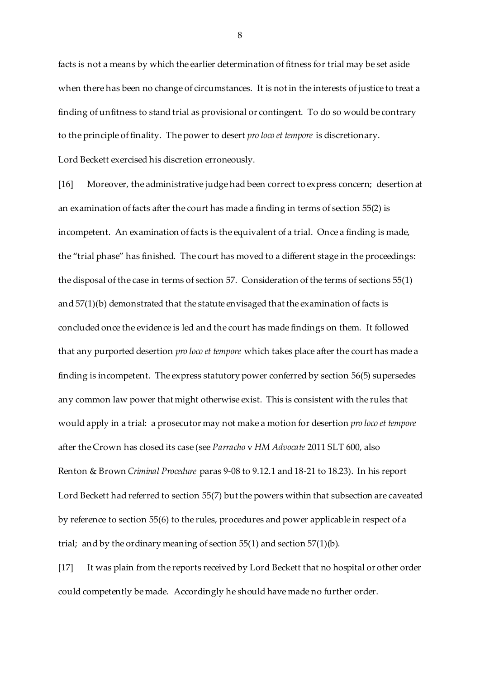facts is not a means by which the earlier determination of fitness for trial may be set aside when there has been no change of circumstances. It is not in the interests of justice to treat a finding of unfitness to stand trial as provisional or contingent. To do so would be contrary to the principle of finality. The power to desert *pro loco et tempore* is discretionary. Lord Beckett exercised his discretion erroneously.

[16] Moreover, the administrative judge had been correct to express concern; desertion at an examination of facts after the court has made a finding in terms of section 55(2) is incompetent. An examination of facts is the equivalent of a trial. Once a finding is made, the "trial phase" has finished. The court has moved to a different stage in the proceedings: the disposal of the case in terms of section 57. Consideration of the terms of sections 55(1) and 57(1)(b) demonstrated that the statute envisaged that the examination of facts is concluded once the evidence is led and the court has made findings on them. It followed that any purported desertion *pro loco et tempore* which takes place after the court has made a finding is incompetent. The express statutory power conferred by section 56(5) supersedes any common law power that might otherwise exist. This is consistent with the rules that would apply in a trial: a prosecutor may not make a motion for desertion *pro loco et tempore* after the Crown has closed its case (see *Parracho* v *HM Advocate* 2011 SLT 600, also Renton & Brown *Criminal Procedure* paras 9-08 to 9.12.1 and 18-21 to 18.23). In his report Lord Beckett had referred to section 55(7) but the powers within that subsection are caveated by reference to section 55(6) to the rules, procedures and power applicable in respect of a trial; and by the ordinary meaning of section 55(1) and section 57(1)(b).

[17] It was plain from the reports received by Lord Beckett that no hospital or other order could competently be made. Accordingly he should have made no further order.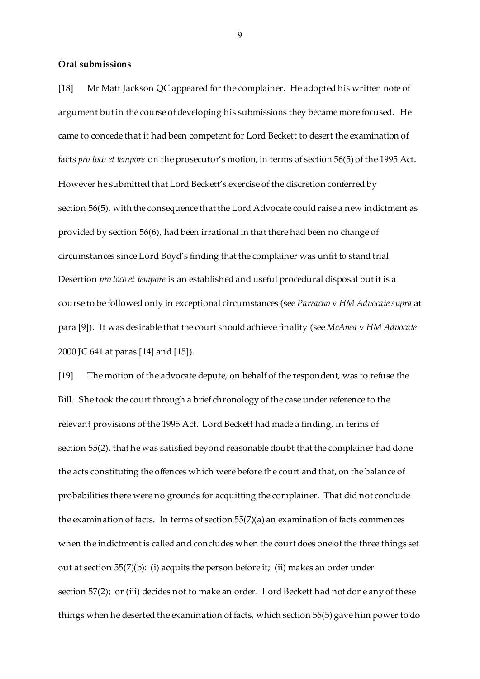#### **Oral submissions**

[18] Mr Matt Jackson QC appeared for the complainer. He adopted his written note of argument but in the course of developing his submissions they became more focused. He came to concede that it had been competent for Lord Beckett to desert the examination of facts *pro loco et tempore* on the prosecutor's motion, in terms of section 56(5) of the 1995 Act. However he submitted that Lord Beckett's exercise of the discretion conferred by section 56(5), with the consequence that the Lord Advocate could raise a new indictment as provided by section 56(6), had been irrational in that there had been no change of circumstances since Lord Boyd's finding that the complainer was unfit to stand trial. Desertion *pro loco et tempore* is an established and useful procedural disposal but it is a course to be followed only in exceptional circumstances (see *Parracho* v HM Advocate supra at para [9]). It was desirable that the court should achieve finality (see *McAnea* v *HM Advocate* 2000 JC 641 at paras [14] and [15]).

[19] The motion of the advocate depute, on behalf of the respondent, was to refuse the Bill. She took the court through a brief chronology of the case under reference to the relevant provisions of the 1995 Act. Lord Beckett had made a finding, in terms of section 55(2), that he was satisfied beyond reasonable doubt that the complainer had done the acts constituting the offences which were before the court and that, on the balance of probabilities there were no grounds for acquitting the complainer. That did not conclude the examination of facts. In terms of section  $55(7)(a)$  an examination of facts commences when the indictment is called and concludes when the court does one of the three things set out at section  $55(7)(b)$ : (i) acquits the person before it; (ii) makes an order under section 57(2); or (iii) decides not to make an order. Lord Beckett had not done any of these things when he deserted the examination of facts, which section 56(5) gave him power to do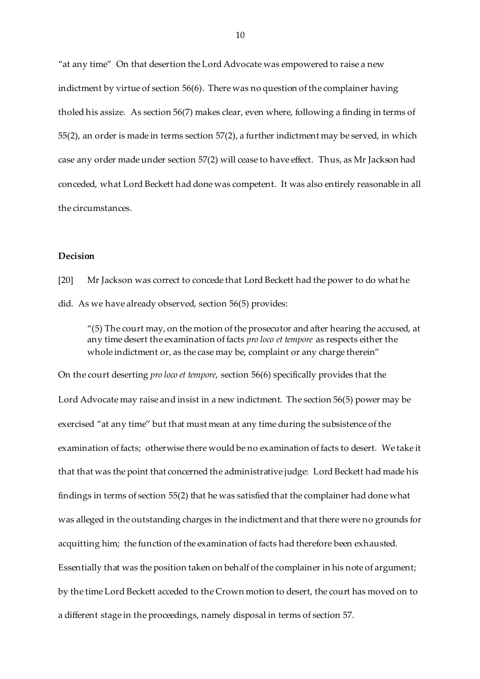"at any time" On that desertion the Lord Advocate was empowered to raise a new indictment by virtue of section 56(6). There was no question of the complainer having tholed his assize. As section 56(7) makes clear, even where, following a finding in terms of 55(2), an order is made in terms section 57(2), a further indictment may be served, in which case any order made under section 57(2) will cease to have effect. Thus, as Mr Jackson had conceded, what Lord Beckett had done was competent. It was also entirely reasonable in all the circumstances.

#### **Decision**

[20] Mr Jackson was correct to concede that Lord Beckett had the power to do what he did. As we have already observed, section 56(5) provides:

"(5) The court may, on the motion of the prosecutor and after hearing the accused, at any time desert the examination of facts *pro loco et tempore* as respects either the whole indictment or, as the case may be, complaint or any charge therein"

On the court deserting *pro loco et tempore*, section 56(6) specifically provides that the Lord Advocate may raise and insist in a new indictment. The section 56(5) power may be exercised "at any time" but that must mean at any time during the subsistence of the examination of facts; otherwise there would be no examination of facts to desert. We take it that that was the point that concerned the administrative judge: Lord Beckett had made his findings in terms of section 55(2) that he was satisfied that the complainer had done what was alleged in the outstanding charges in the indictment and that there were no grounds for acquitting him; the function of the examination of facts had therefore been exhausted. Essentially that was the position taken on behalf of the complainer in his note of argument; by the time Lord Beckett acceded to the Crown motion to desert, the court has moved on to a different stage in the proceedings, namely disposal in terms of section 57.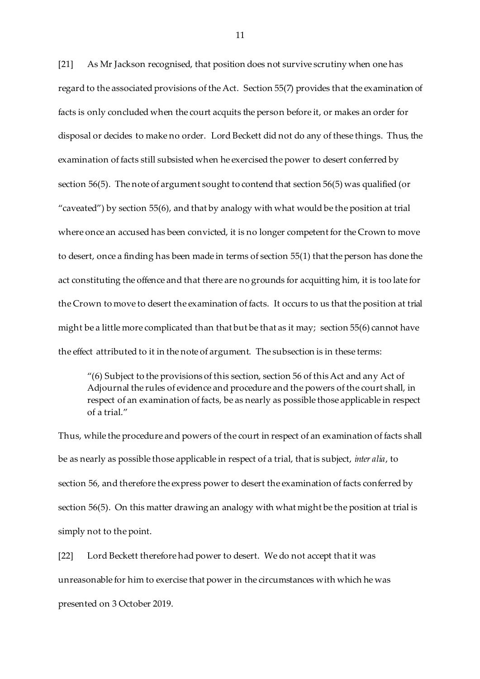[21] As Mr Jackson recognised, that position does not survive scrutiny when one has regard to the associated provisions of the Act. Section 55(7) provides that the examination of facts is only concluded when the court acquits the person before it, or makes an order for disposal or decides to make no order. Lord Beckett did not do any of these things. Thus, the examination of facts still subsisted when he exercised the power to desert conferred by section 56(5). The note of argument sought to contend that section 56(5) was qualified (or "caveated") by section 55(6), and that by analogy with what would be the position at trial where once an accused has been convicted, it is no longer competent for the Crown to move to desert, once a finding has been made in terms of section 55(1) that the person has done the act constituting the offence and that there are no grounds for acquitting him, it is too late for the Crown to move to desert the examination of facts. It occurs to us that the position at trial might be a little more complicated than that but be that as it may; section 55(6) cannot have the effect attributed to it in the note of argument. The subsection is in these terms:

"(6) Subject to the provisions of this section, section 56 of this Act and any Act of Adjournal the rules of evidence and procedure and the powers of the court shall, in respect of an examination of facts, be as nearly as possible those applicable in respect of a trial."

Thus, while the procedure and powers of the court in respect of an examination of facts shall be as nearly as possible those applicable in respect of a trial, that is subject, *inter alia*, to section 56, and therefore the express power to desert the examination of facts conferred by section 56(5). On this matter drawing an analogy with what might be the position at trial is simply not to the point.

[22] Lord Beckett therefore had power to desert. We do not accept that it was unreasonable for him to exercise that power in the circumstances with which he was presented on 3 October 2019.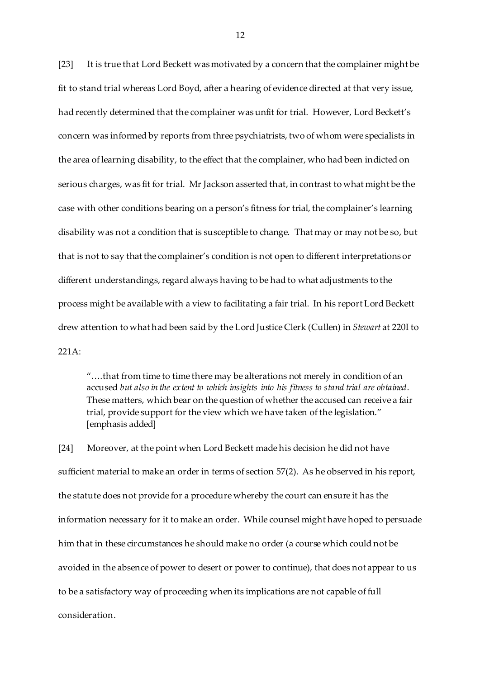[23] It is true that Lord Beckett was motivated by a concern that the complainer might be fit to stand trial whereas Lord Boyd, after a hearing of evidence directed at that very issue, had recently determined that the complainer was unfit for trial. However, Lord Beckett's concern was informed by reports from three psychiatrists, two of whom were specialists in the area of learning disability, to the effect that the complainer, who had been indicted on serious charges, was fit for trial. Mr Jackson asserted that, in contrast to what might be the case with other conditions bearing on a person's fitness for trial, the complainer's learning disability was not a condition that is susceptible to change. That may or may not be so, but that is not to say that the complainer's condition is not open to different interpretations or different understandings, regard always having to be had to what adjustments to the process might be available with a view to facilitating a fair trial. In his report Lord Beckett drew attention to what had been said by the Lord Justice Clerk (Cullen) in *Stewart* at 220I to 221A:

"….that from time to time there may be alterations not merely in condition of an accused *but also in the extent to which insights into his fitness to stand trial are obtained*. These matters, which bear on the question of whether the accused can receive a fair trial, provide support for the view which we have taken of the legislation." [emphasis added]

[24] Moreover, at the point when Lord Beckett made his decision he did not have sufficient material to make an order in terms of section 57(2). As he observed in his report, the statute does not provide for a procedure whereby the court can ensure it has the information necessary for it to make an order. While counsel might have hoped to persuade him that in these circumstances he should make no order (a course which could not be avoided in the absence of power to desert or power to continue), that does not appear to us to be a satisfactory way of proceeding when its implications are not capable of full consideration.